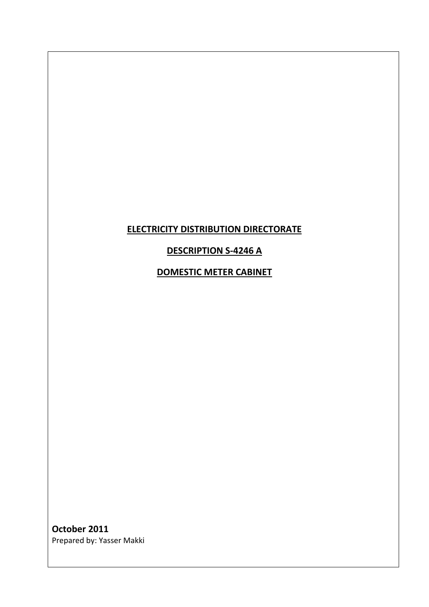## **ELECTRICITY DISTRIBUTION DIRECTORATE**

### **DESCRIPTION S-4246 A**

**DOMESTIC METER CABINET**

**October 2011** Prepared by: Yasser Makki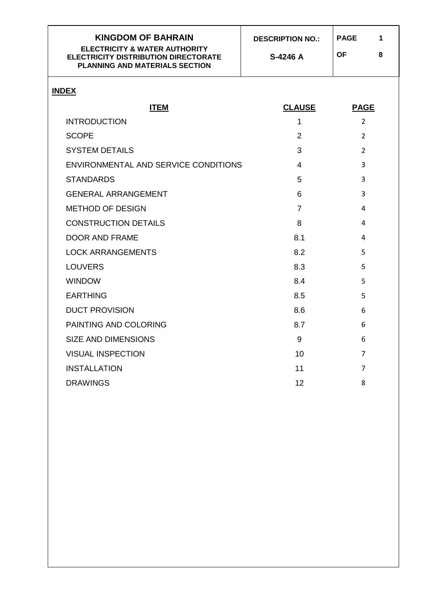| <b>KINGDOM OF BAHRAIN</b><br><b>ELECTRICITY &amp; WATER AUTHORITY</b><br><b>ELECTRICITY DISTRIBUTION DIRECTORATE</b><br><b>PLANNING AND MATERIALS SECTION</b> | <b>DESCRIPTION NO.:</b><br>S-4246 A | <b>PAGE</b><br>1<br><b>OF</b><br>8 |
|---------------------------------------------------------------------------------------------------------------------------------------------------------------|-------------------------------------|------------------------------------|
| <b>INDEX</b>                                                                                                                                                  |                                     |                                    |
| <b>ITEM</b>                                                                                                                                                   | <b>CLAUSE</b>                       | <b>PAGE</b>                        |
| <b>INTRODUCTION</b>                                                                                                                                           | 1                                   | $\overline{2}$                     |
| <b>SCOPE</b>                                                                                                                                                  | $\overline{2}$                      | $\overline{2}$                     |
| <b>SYSTEM DETAILS</b>                                                                                                                                         | 3                                   | $\overline{2}$                     |
| ENVIRONMENTAL AND SERVICE CONDITIONS                                                                                                                          | 4                                   | 3                                  |
| <b>STANDARDS</b>                                                                                                                                              | 5                                   | 3                                  |
| <b>GENERAL ARRANGEMENT</b>                                                                                                                                    | 6                                   | 3                                  |
| <b>METHOD OF DESIGN</b>                                                                                                                                       | $\overline{7}$                      | 4                                  |
| <b>CONSTRUCTION DETAILS</b>                                                                                                                                   | 8                                   | 4                                  |
| <b>DOOR AND FRAME</b>                                                                                                                                         | 8.1                                 | 4                                  |
| <b>LOCK ARRANGEMENTS</b>                                                                                                                                      | 8.2                                 | 5                                  |
| <b>LOUVERS</b>                                                                                                                                                | 8.3                                 | 5                                  |
| <b>WINDOW</b>                                                                                                                                                 | 8.4                                 | 5                                  |
| <b>EARTHING</b>                                                                                                                                               | 8.5                                 | 5                                  |
| <b>DUCT PROVISION</b>                                                                                                                                         | 8.6                                 | 6                                  |
| PAINTING AND COLORING                                                                                                                                         | 8.7                                 | 6                                  |
| <b>SIZE AND DIMENSIONS</b>                                                                                                                                    | 9                                   | 6                                  |
| <b>VISUAL INSPECTION</b>                                                                                                                                      | 10                                  | $\overline{7}$                     |
| <b>INSTALLATION</b>                                                                                                                                           | 11                                  | 7                                  |
| <b>DRAWINGS</b>                                                                                                                                               | 12                                  | 8                                  |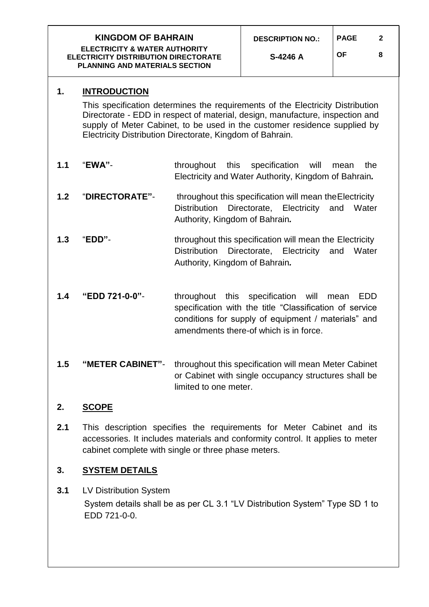<span id="page-2-0"></span>

| <b>KINGDOM OF BAHRAIN</b><br><b>ELECTRICITY &amp; WATER AUTHORITY</b><br><b>ELECTRICITY DISTRIBUTION DIRECTORATE</b><br><b>PLANNING AND MATERIALS SECTION</b> |                                                                                                                                                                                                                                                                                                                                  | <b>DESCRIPTION NO.:</b><br>S-4246 A                                                                                                                          | <b>PAGE</b><br><b>OF</b>                                                                                                                                                          | 2<br>8       |  |  |
|---------------------------------------------------------------------------------------------------------------------------------------------------------------|----------------------------------------------------------------------------------------------------------------------------------------------------------------------------------------------------------------------------------------------------------------------------------------------------------------------------------|--------------------------------------------------------------------------------------------------------------------------------------------------------------|-----------------------------------------------------------------------------------------------------------------------------------------------------------------------------------|--------------|--|--|
| 1.                                                                                                                                                            | <b>INTRODUCTION</b><br>This specification determines the requirements of the Electricity Distribution<br>Directorate - EDD in respect of material, design, manufacture, inspection and<br>supply of Meter Cabinet, to be used in the customer residence supplied by<br>Electricity Distribution Directorate, Kingdom of Bahrain. |                                                                                                                                                              |                                                                                                                                                                                   |              |  |  |
| 1.1                                                                                                                                                           | "EWA"-                                                                                                                                                                                                                                                                                                                           | throughout<br>this<br>specification<br>will<br>the<br>mean<br>Electricity and Water Authority, Kingdom of Bahrain.                                           |                                                                                                                                                                                   |              |  |  |
| 1.2                                                                                                                                                           | "DIRECTORATE"-                                                                                                                                                                                                                                                                                                                   | throughout this specification will mean the Electricity<br>Directorate, Electricity<br><b>Distribution</b><br>Water<br>and<br>Authority, Kingdom of Bahrain. |                                                                                                                                                                                   |              |  |  |
| 1.3                                                                                                                                                           | "EDD"-                                                                                                                                                                                                                                                                                                                           | Authority, Kingdom of Bahrain.                                                                                                                               | throughout this specification will mean the Electricity<br>Distribution Directorate, Electricity                                                                                  | and<br>Water |  |  |
| 1.4                                                                                                                                                           | "EDD 721-0-0"-                                                                                                                                                                                                                                                                                                                   | this<br>throughout                                                                                                                                           | specification<br>will<br>specification with the title "Classification of service<br>conditions for supply of equipment / materials" and<br>amendments there-of which is in force. | EDD<br>mean  |  |  |
| 1.5                                                                                                                                                           | "METER CABINET"-                                                                                                                                                                                                                                                                                                                 | limited to one meter.                                                                                                                                        | throughout this specification will mean Meter Cabinet<br>or Cabinet with single occupancy structures shall be                                                                     |              |  |  |

## <span id="page-2-1"></span>**2. SCOPE**

**2.1** This description specifies the requirements for Meter Cabinet and its accessories. It includes materials and conformity control. It applies to meter cabinet complete with single or three phase meters.

## <span id="page-2-2"></span>**3. SYSTEM DETAILS**

**3.1** LV Distribution System System details shall be as per CL 3.1 "LV Distribution System" Type SD 1 to EDD 721-0-0.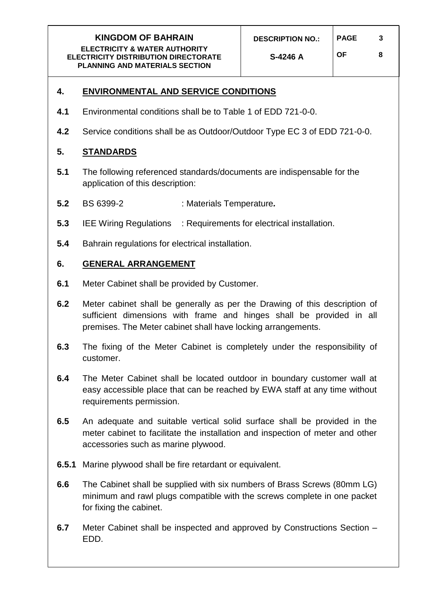### <span id="page-3-0"></span>**4. ENVIRONMENTAL AND SERVICE CONDITIONS**

- **4.1** Environmental conditions shall be to Table 1 of EDD 721-0-0.
- **4.2** Service conditions shall be as Outdoor/Outdoor Type EC 3 of EDD 721-0-0.

#### <span id="page-3-1"></span>**5. STANDARDS**

- **5.1** The following referenced standards/documents are indispensable for the application of this description:
- **5.2** BS 6399-2 : Materials Temperature*.*
- **5.3** IEE Wiring Regulations : Requirements for electrical installation.
- **5.4** Bahrain regulations for electrical installation.

#### <span id="page-3-2"></span>**6. GENERAL ARRANGEMENT**

- **6.1** Meter Cabinet shall be provided by Customer.
- **6.2** Meter cabinet shall be generally as per the Drawing of this description of sufficient dimensions with frame and hinges shall be provided in all premises. The Meter cabinet shall have locking arrangements.
- **6.3** The fixing of the Meter Cabinet is completely under the responsibility of customer.
- **6.4** The Meter Cabinet shall be located outdoor in boundary customer wall at easy accessible place that can be reached by EWA staff at any time without requirements permission.
- **6.5** An adequate and suitable vertical solid surface shall be provided in the meter cabinet to facilitate the installation and inspection of meter and other accessories such as marine plywood.
- **6.5.1** Marine plywood shall be fire retardant or equivalent.
- **6.6** The Cabinet shall be supplied with six numbers of Brass Screws (80mm LG) minimum and rawl plugs compatible with the screws complete in one packet for fixing the cabinet.
- **6.7** Meter Cabinet shall be inspected and approved by Constructions Section EDD.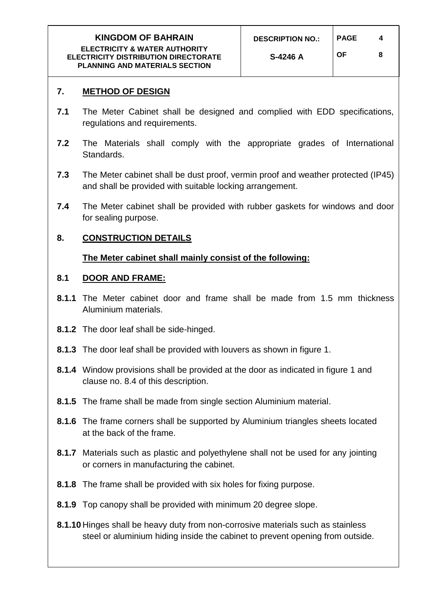## **7. METHOD OF DESIGN**

- **7.1** The Meter Cabinet shall be designed and complied with EDD specifications, regulations and requirements.
- **7.2** The Materials shall comply with the appropriate grades of International Standards.
- **7.3** The Meter cabinet shall be dust proof, vermin proof and weather protected (IP45) and shall be provided with suitable locking arrangement.
- **7.4** The Meter cabinet shall be provided with rubber gaskets for windows and door for sealing purpose.

## <span id="page-4-0"></span>**8. CONSTRUCTION DETAILS**

## **The Meter cabinet shall mainly consist of the following:**

## **8.1 DOOR AND FRAME:**

- **8.1.1** The Meter cabinet door and frame shall be made from 1.5 mm thickness Aluminium materials.
- **8.1.2** The door leaf shall be side-hinged.
- **8.1.3** The door leaf shall be provided with louvers as shown in figure 1.
- **8.1.4** Window provisions shall be provided at the door as indicated in figure 1 and clause no. 8.4 of this description.
- **8.1.5** The frame shall be made from single section Aluminium material.
- **8.1.6** The frame corners shall be supported by Aluminium triangles sheets located at the back of the frame.
- **8.1.7** Materials such as plastic and polyethylene shall not be used for any jointing or corners in manufacturing the cabinet.
- **8.1.8** The frame shall be provided with six holes for fixing purpose.
- **8.1.9** Top canopy shall be provided with minimum 20 degree slope.
- **8.1.10** Hinges shall be heavy duty from non-corrosive materials such as stainless steel or aluminium hiding inside the cabinet to prevent opening from outside.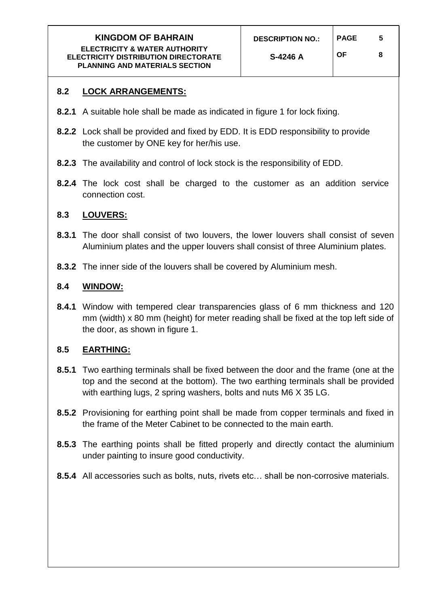# **8.2 LOCK ARRANGEMENTS:**

- **8.2.1** A suitable hole shall be made as indicated in figure 1 for lock fixing.
- **8.2.2** Lock shall be provided and fixed by EDD. It is EDD responsibility to provide the customer by ONE key for her/his use.
- **8.2.3** The availability and control of lock stock is the responsibility of EDD.
- **8.2.4** The lock cost shall be charged to the customer as an addition service connection cost.

### **8.3 LOUVERS:**

- **8.3.1** The door shall consist of two louvers, the lower louvers shall consist of seven Aluminium plates and the upper louvers shall consist of three Aluminium plates.
- **8.3.2** The inner side of the louvers shall be covered by Aluminium mesh.

### **8.4 WINDOW:**

**8.4.1** Window with tempered clear transparencies glass of 6 mm thickness and 120 mm (width) x 80 mm (height) for meter reading shall be fixed at the top left side of the door, as shown in figure 1.

### **8.5 EARTHING:**

- **8.5.1** Two earthing terminals shall be fixed between the door and the frame (one at the top and the second at the bottom). The two earthing terminals shall be provided with earthing lugs, 2 spring washers, bolts and nuts M6 X 35 LG.
- **8.5.2** Provisioning for earthing point shall be made from copper terminals and fixed in the frame of the Meter Cabinet to be connected to the main earth.
- **8.5.3** The earthing points shall be fitted properly and directly contact the aluminium under painting to insure good conductivity.
- **8.5.4** All accessories such as bolts, nuts, rivets etc… shall be non-corrosive materials.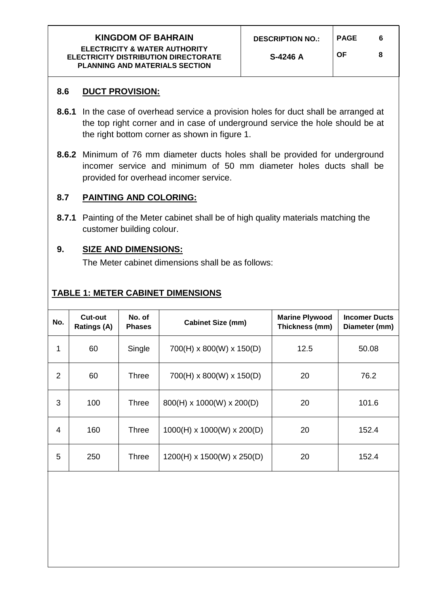## **8.6 DUCT PROVISION:**

- **8.6.1** In the case of overhead service a provision holes for duct shall be arranged at the top right corner and in case of underground service the hole should be at the right bottom corner as shown in figure 1.
- **8.6.2** Minimum of 76 mm diameter ducts holes shall be provided for underground incomer service and minimum of 50 mm diameter holes ducts shall be provided for overhead incomer service.

## **8.7 PAINTING AND COLORING:**

**8.7.1** Painting of the Meter cabinet shall be of high quality materials matching the customer building colour.

## **9. SIZE AND DIMENSIONS:**

The Meter cabinet dimensions shall be as follows:

# **TABLE 1: METER CABINET DIMENSIONS**

<span id="page-6-0"></span>

| No. | <b>Cut-out</b><br><b>Ratings (A)</b> | No. of<br><b>Phases</b> | <b>Cabinet Size (mm)</b>               | <b>Marine Plywood</b><br>Thickness (mm) | <b>Incomer Ducts</b><br>Diameter (mm) |
|-----|--------------------------------------|-------------------------|----------------------------------------|-----------------------------------------|---------------------------------------|
| 1   | 60                                   | Single                  | $700(H) \times 800(W) \times 150(D)$   | 12.5                                    | 50.08                                 |
| 2   | 60                                   | Three                   | 700(H) x 800(W) x 150(D)               | 20                                      | 76.2                                  |
| 3   | 100                                  | Three                   | 800(H) x 1000(W) x 200(D)              | 20                                      | 101.6                                 |
| 4   | 160                                  | Three                   | $1000(H) \times 1000(W) \times 200(D)$ | 20                                      | 152.4                                 |
| 5   | 250                                  | Three                   | $1200(H) \times 1500(W) \times 250(D)$ | 20                                      | 152.4                                 |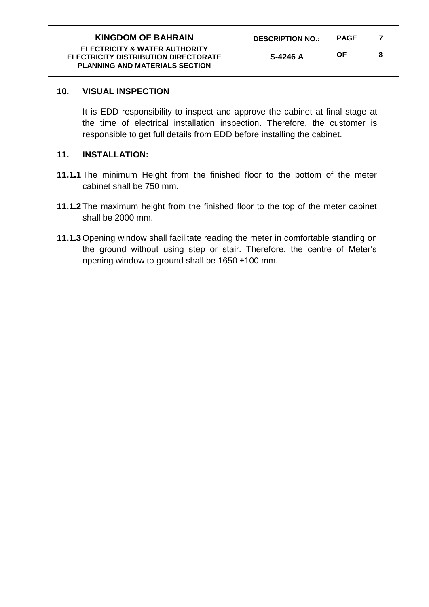**OF 8**

# <span id="page-7-0"></span>**10. VISUAL INSPECTION**

It is EDD responsibility to inspect and approve the cabinet at final stage at the time of electrical installation inspection. Therefore, the customer is responsible to get full details from EDD before installing the cabinet.

## <span id="page-7-1"></span>**11. INSTALLATION:**

- **11.1.1** The minimum Height from the finished floor to the bottom of the meter cabinet shall be 750 mm.
- **11.1.2** The maximum height from the finished floor to the top of the meter cabinet shall be 2000 mm.
- <span id="page-7-2"></span>**11.1.3** Opening window shall facilitate reading the meter in comfortable standing on the ground without using step or stair. Therefore, the centre of Meter's opening window to ground shall be 1650 ±100 mm.